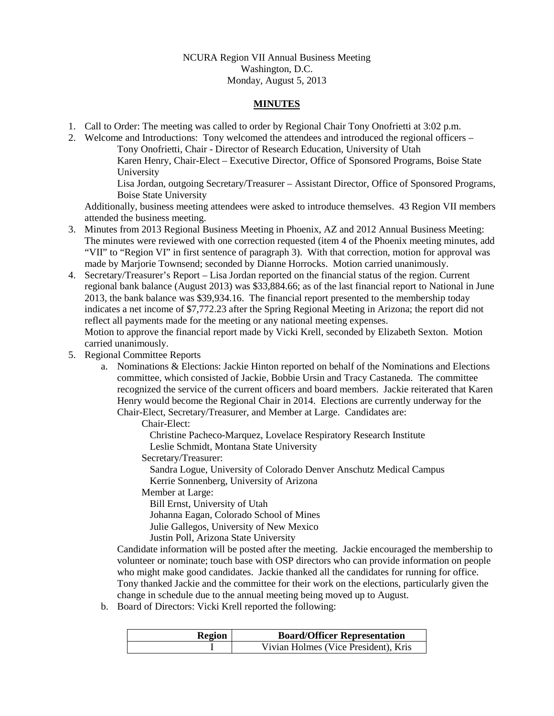## NCURA Region VII Annual Business Meeting Washington, D.C. Monday, August 5, 2013

## **MINUTES**

- 1. Call to Order: The meeting was called to order by Regional Chair Tony Onofrietti at 3:02 p.m.
- 2. Welcome and Introductions: Tony welcomed the attendees and introduced the regional officers Tony Onofrietti, Chair - Director of Research Education, University of Utah Karen Henry, Chair-Elect – Executive Director, Office of Sponsored Programs, Boise State University

Lisa Jordan, outgoing Secretary/Treasurer – Assistant Director, Office of Sponsored Programs, Boise State University

Additionally, business meeting attendees were asked to introduce themselves. 43 Region VII members attended the business meeting.

- 3. Minutes from 2013 Regional Business Meeting in Phoenix, AZ and 2012 Annual Business Meeting: The minutes were reviewed with one correction requested (item 4 of the Phoenix meeting minutes, add "VII" to "Region VI" in first sentence of paragraph 3). With that correction, motion for approval was made by Marjorie Townsend; seconded by Dianne Horrocks. Motion carried unanimously.
- 4. Secretary/Treasurer's Report Lisa Jordan reported on the financial status of the region. Current regional bank balance (August 2013) was \$33,884.66; as of the last financial report to National in June 2013, the bank balance was \$39,934.16. The financial report presented to the membership today indicates a net income of \$7,772.23 after the Spring Regional Meeting in Arizona; the report did not reflect all payments made for the meeting or any national meeting expenses. Motion to approve the financial report made by Vicki Krell, seconded by Elizabeth Sexton. Motion carried unanimously.
- 5. Regional Committee Reports
	- a. Nominations & Elections: Jackie Hinton reported on behalf of the Nominations and Elections committee, which consisted of Jackie, Bobbie Ursin and Tracy Castaneda. The committee recognized the service of the current officers and board members. Jackie reiterated that Karen Henry would become the Regional Chair in 2014. Elections are currently underway for the Chair-Elect, Secretary/Treasurer, and Member at Large. Candidates are:

Chair-Elect:

Christine Pacheco-Marquez, Lovelace Respiratory Research Institute Leslie Schmidt, Montana State University

Secretary/Treasurer:

Sandra Logue, University of Colorado Denver Anschutz Medical Campus Kerrie Sonnenberg, University of Arizona

Member at Large:

Bill Ernst, University of Utah Johanna Eagan, Colorado School of Mines Julie Gallegos, University of New Mexico Justin Poll, Arizona State University

Candidate information will be posted after the meeting. Jackie encouraged the membership to volunteer or nominate; touch base with OSP directors who can provide information on people who might make good candidates. Jackie thanked all the candidates for running for office. Tony thanked Jackie and the committee for their work on the elections, particularly given the change in schedule due to the annual meeting being moved up to August.

b. Board of Directors: Vicki Krell reported the following:

| <b>Region</b> | <b>Board/Officer Representation</b>  |
|---------------|--------------------------------------|
|               | Vivian Holmes (Vice President), Kris |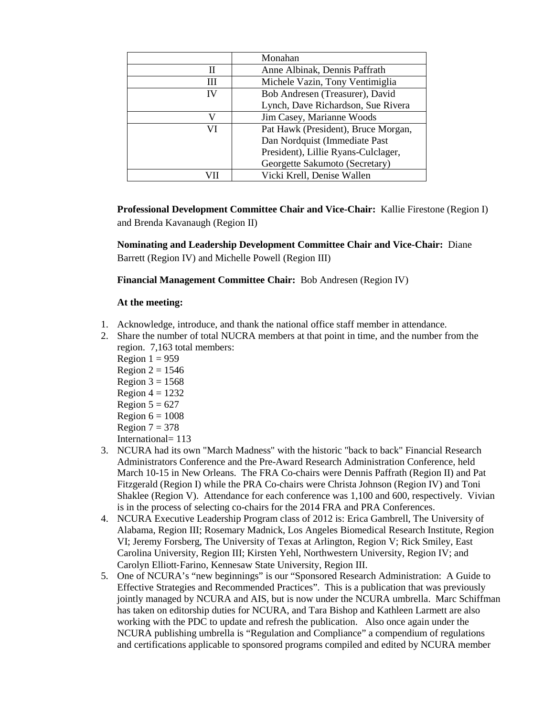|    | Monahan                             |
|----|-------------------------------------|
| Н  | Anne Albinak, Dennis Paffrath       |
| Ш  | Michele Vazin, Tony Ventimiglia     |
| IV | Bob Andresen (Treasurer), David     |
|    | Lynch, Dave Richardson, Sue Rivera  |
|    | Jim Casey, Marianne Woods           |
| VI | Pat Hawk (President), Bruce Morgan, |
|    | Dan Nordquist (Immediate Past       |
|    | President), Lillie Ryans-Culclager, |
|    | Georgette Sakumoto (Secretary)      |
|    | Vicki Krell, Denise Wallen          |

**Professional Development Committee Chair and Vice-Chair:** Kallie Firestone (Region I) and Brenda Kavanaugh (Region II)

**Nominating and Leadership Development Committee Chair and Vice-Chair:** Diane Barrett (Region IV) and Michelle Powell (Region III)

**Financial Management Committee Chair:** Bob Andresen (Region IV)

## **At the meeting:**

- 1. Acknowledge, introduce, and thank the national office staff member in attendance.
- 2. Share the number of total NUCRA members at that point in time, and the number from the region. 7,163 total members:
	- Region  $1 = 959$
	- Region  $2 = 1546$
	- Region  $3 = 1568$
	- Region  $4 = 1232$
	- Region  $5 = 627$
	- Region  $6 = 1008$
	- Region  $7 = 378$
	- International= 113
- 3. NCURA had its own "March Madness" with the historic "back to back" Financial Research Administrators Conference and the Pre-Award Research Administration Conference, held March 10-15 in New Orleans. The FRA Co-chairs were Dennis Paffrath (Region II) and Pat Fitzgerald (Region I) while the PRA Co-chairs were Christa Johnson (Region IV) and Toni Shaklee (Region V). Attendance for each conference was 1,100 and 600, respectively. Vivian is in the process of selecting co-chairs for the 2014 FRA and PRA Conferences.
- 4. NCURA Executive Leadership Program class of 2012 is: Erica Gambrell, The University of Alabama, Region III; Rosemary Madnick, Los Angeles Biomedical Research Institute, Region VI; Jeremy Forsberg, The University of Texas at Arlington, Region V; Rick Smiley, East Carolina University, Region III; Kirsten Yehl, Northwestern University, Region IV; and Carolyn Elliott‐Farino, Kennesaw State University, Region III.
- 5. One of NCURA's "new beginnings" is our "Sponsored Research Administration: A Guide to Effective Strategies and Recommended Practices". This is a publication that was previously jointly managed by NCURA and AIS, but is now under the NCURA umbrella. Marc Schiffman has taken on editorship duties for NCURA, and Tara Bishop and Kathleen Larmett are also working with the PDC to update and refresh the publication. Also once again under the NCURA publishing umbrella is "Regulation and Compliance" a compendium of regulations and certifications applicable to sponsored programs compiled and edited by NCURA member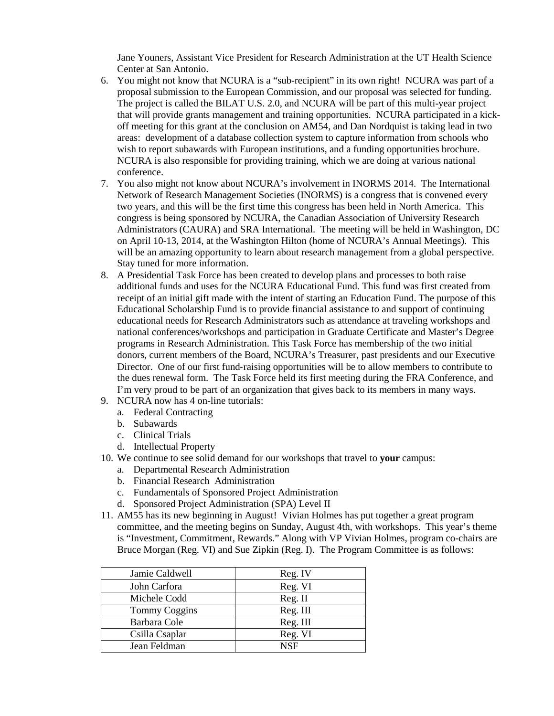Jane Youners, Assistant Vice President for Research Administration at the UT Health Science Center at San Antonio.

- 6. You might not know that NCURA is a "sub-recipient" in its own right! NCURA was part of a proposal submission to the European Commission, and our proposal was selected for funding. The project is called the BILAT U.S. 2.0, and NCURA will be part of this multi-year project that will provide grants management and training opportunities. NCURA participated in a kickoff meeting for this grant at the conclusion on AM54, and Dan Nordquist is taking lead in two areas: development of a database collection system to capture information from schools who wish to report subawards with European institutions, and a funding opportunities brochure. NCURA is also responsible for providing training, which we are doing at various national conference.
- 7. You also might not know about NCURA's involvement in INORMS 2014. The International Network of Research Management Societies (INORMS) is a congress that is convened every two years, and this will be the first time this congress has been held in North America. This congress is being sponsored by NCURA, the Canadian Association of University Research Administrators (CAURA) and SRA International. The meeting will be held in Washington, DC on April 10-13, 2014, at the Washington Hilton (home of NCURA's Annual Meetings). This will be an amazing opportunity to learn about research management from a global perspective. Stay tuned for more information.
- 8. A Presidential Task Force has been created to develop plans and processes to both raise additional funds and uses for the NCURA Educational Fund. This fund was first created from receipt of an initial gift made with the intent of starting an Education Fund. The purpose of this Educational Scholarship Fund is to provide financial assistance to and support of continuing educational needs for Research Administrators such as attendance at traveling workshops and national conferences/workshops and participation in Graduate Certificate and Master's Degree programs in Research Administration. This Task Force has membership of the two initial donors, current members of the Board, NCURA's Treasurer, past presidents and our Executive Director. One of our first fund-raising opportunities will be to allow members to contribute to the dues renewal form. The Task Force held its first meeting during the FRA Conference, and I'm very proud to be part of an organization that gives back to its members in many ways.
- 9. NCURA now has 4 on-line tutorials:
	- a. Federal Contracting
	- b. Subawards
	- c. Clinical Trials
	- d. Intellectual Property
- 10. We continue to see solid demand for our workshops that travel to **your** campus:
	- a. Departmental Research Administration
	- b. Financial Research Administration
	- c. Fundamentals of Sponsored Project Administration
	- d. Sponsored Project Administration (SPA) Level II
- 11. AM55 has its new beginning in August! Vivian Holmes has put together a great program committee, and the meeting begins on Sunday, August 4th, with workshops. This year's theme is "Investment, Commitment, Rewards." Along with VP Vivian Holmes, program co-chairs are Bruce Morgan (Reg. VI) and Sue Zipkin (Reg. I). The Program Committee is as follows:

| Jamie Caldwell       | Reg. IV    |
|----------------------|------------|
| John Carfora         | Reg. VI    |
| Michele Codd         | Reg. II    |
| <b>Tommy Coggins</b> | Reg. III   |
| Barbara Cole         | Reg. III   |
| Csilla Csaplar       | Reg. VI    |
| Jean Feldman         | <b>NSF</b> |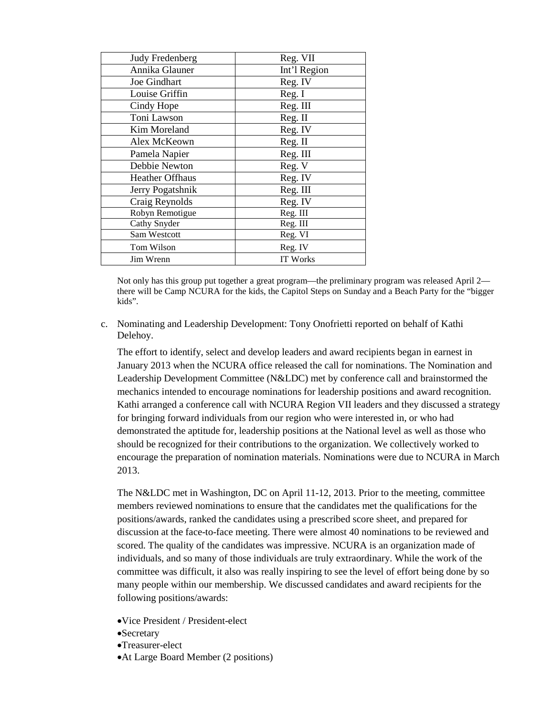| <b>Judy Fredenberg</b> | Reg. VII        |
|------------------------|-----------------|
| Annika Glauner         | Int'l Region    |
| Joe Gindhart           | Reg. IV         |
| Louise Griffin         | Reg. I          |
| Cindy Hope             | Reg. III        |
| Toni Lawson            | Reg. II         |
| Kim Moreland           | Reg. IV         |
| Alex McKeown           | Reg. II         |
| Pamela Napier          | Reg. III        |
| Debbie Newton          | Reg. V          |
| <b>Heather Offhaus</b> | Reg. IV         |
| Jerry Pogatshnik       | Reg. III        |
| Craig Reynolds         | Reg. IV         |
| Robyn Remotigue        | Reg. III        |
| Cathy Snyder           | Reg. III        |
| Sam Westcott           | Reg. VI         |
| Tom Wilson             | Reg. IV         |
| Jim Wrenn              | <b>IT Works</b> |

Not only has this group put together a great program—the preliminary program was released April 2 there will be Camp NCURA for the kids, the Capitol Steps on Sunday and a Beach Party for the "bigger kids".

c. Nominating and Leadership Development: Tony Onofrietti reported on behalf of Kathi Delehoy.

The effort to identify, select and develop leaders and award recipients began in earnest in January 2013 when the NCURA office released the call for nominations. The Nomination and Leadership Development Committee (N&LDC) met by conference call and brainstormed the mechanics intended to encourage nominations for leadership positions and award recognition. Kathi arranged a conference call with NCURA Region VII leaders and they discussed a strategy for bringing forward individuals from our region who were interested in, or who had demonstrated the aptitude for, leadership positions at the National level as well as those who should be recognized for their contributions to the organization. We collectively worked to encourage the preparation of nomination materials. Nominations were due to NCURA in March 2013.

The N&LDC met in Washington, DC on April 11-12, 2013. Prior to the meeting, committee members reviewed nominations to ensure that the candidates met the qualifications for the positions/awards, ranked the candidates using a prescribed score sheet, and prepared for discussion at the face-to-face meeting. There were almost 40 nominations to be reviewed and scored. The quality of the candidates was impressive. NCURA is an organization made of individuals, and so many of those individuals are truly extraordinary. While the work of the committee was difficult, it also was really inspiring to see the level of effort being done by so many people within our membership. We discussed candidates and award recipients for the following positions/awards:

- •Vice President / President-elect
- •Secretary
- •Treasurer-elect
- •At Large Board Member (2 positions)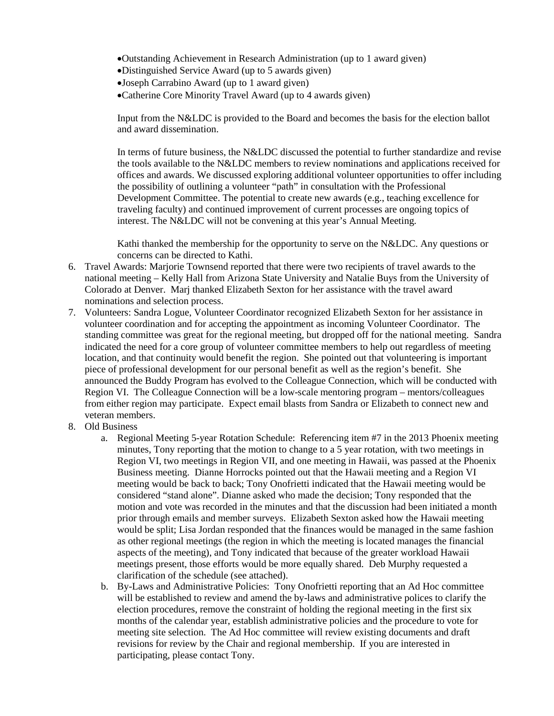- •Outstanding Achievement in Research Administration (up to 1 award given)
- •Distinguished Service Award (up to 5 awards given)
- •Joseph Carrabino Award (up to 1 award given)
- •Catherine Core Minority Travel Award (up to 4 awards given)

Input from the N&LDC is provided to the Board and becomes the basis for the election ballot and award dissemination.

In terms of future business, the N&LDC discussed the potential to further standardize and revise the tools available to the N&LDC members to review nominations and applications received for offices and awards. We discussed exploring additional volunteer opportunities to offer including the possibility of outlining a volunteer "path" in consultation with the Professional Development Committee. The potential to create new awards (e.g., teaching excellence for traveling faculty) and continued improvement of current processes are ongoing topics of interest. The N&LDC will not be convening at this year's Annual Meeting.

Kathi thanked the membership for the opportunity to serve on the N&LDC. Any questions or concerns can be directed to Kathi.

- 6. Travel Awards: Marjorie Townsend reported that there were two recipients of travel awards to the national meeting – Kelly Hall from Arizona State University and Natalie Buys from the University of Colorado at Denver. Marj thanked Elizabeth Sexton for her assistance with the travel award nominations and selection process.
- 7. Volunteers: Sandra Logue, Volunteer Coordinator recognized Elizabeth Sexton for her assistance in volunteer coordination and for accepting the appointment as incoming Volunteer Coordinator. The standing committee was great for the regional meeting, but dropped off for the national meeting. Sandra indicated the need for a core group of volunteer committee members to help out regardless of meeting location, and that continuity would benefit the region. She pointed out that volunteering is important piece of professional development for our personal benefit as well as the region's benefit. She announced the Buddy Program has evolved to the Colleague Connection, which will be conducted with Region VI. The Colleague Connection will be a low-scale mentoring program – mentors/colleagues from either region may participate. Expect email blasts from Sandra or Elizabeth to connect new and veteran members.
- 8. Old Business
	- a. Regional Meeting 5-year Rotation Schedule: Referencing item #7 in the 2013 Phoenix meeting minutes, Tony reporting that the motion to change to a 5 year rotation, with two meetings in Region VI, two meetings in Region VII, and one meeting in Hawaii, was passed at the Phoenix Business meeting. Dianne Horrocks pointed out that the Hawaii meeting and a Region VI meeting would be back to back; Tony Onofrietti indicated that the Hawaii meeting would be considered "stand alone". Dianne asked who made the decision; Tony responded that the motion and vote was recorded in the minutes and that the discussion had been initiated a month prior through emails and member surveys. Elizabeth Sexton asked how the Hawaii meeting would be split; Lisa Jordan responded that the finances would be managed in the same fashion as other regional meetings (the region in which the meeting is located manages the financial aspects of the meeting), and Tony indicated that because of the greater workload Hawaii meetings present, those efforts would be more equally shared. Deb Murphy requested a clarification of the schedule (see attached).
	- b. By-Laws and Administrative Policies: Tony Onofrietti reporting that an Ad Hoc committee will be established to review and amend the by-laws and administrative polices to clarify the election procedures, remove the constraint of holding the regional meeting in the first six months of the calendar year, establish administrative policies and the procedure to vote for meeting site selection. The Ad Hoc committee will review existing documents and draft revisions for review by the Chair and regional membership. If you are interested in participating, please contact Tony.